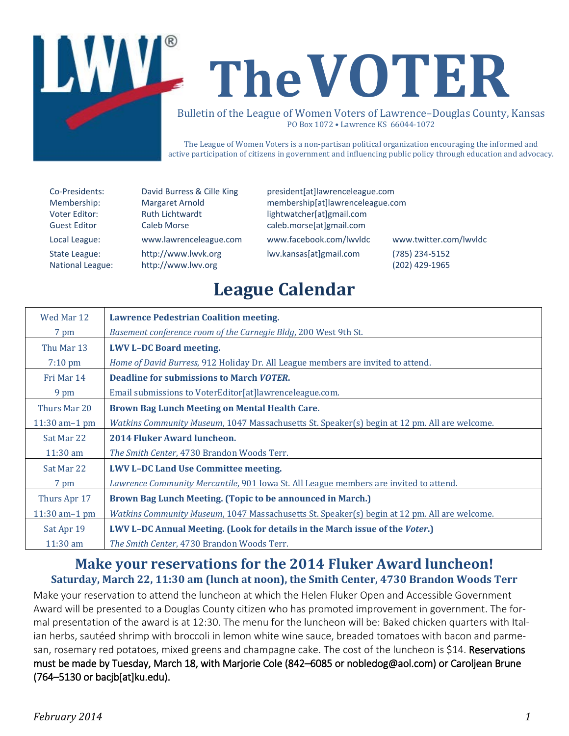

The League of Women Voters is a non-partisan political organization encouraging the informed and active participation of citizens in government and influencing public policy through education and advocacy.

| Co-Presidents:      |  |
|---------------------|--|
| Membership:         |  |
| Voter Editor:       |  |
| <b>Guest Editor</b> |  |
| Local League:       |  |
| State League:       |  |
| National League:    |  |

David Burress & Cille King president[at]lawrenceleague.com Margaret Arnold membership[at]lawrenceleague.com Ruth Lichtwardt **Editor Editor** lightwatcher[at]gmail.com Caleb Morse **Caleb Morse** caleb morse[at]gmail.com www.lawrenceleague.com [www.facebook.com/lwvldc](http://www.facebook.com/lwvldc) www.twitter.com/lwvldc [http://www.lwvk.org](http://www.lwvk.org/) lwv.kansas[at]gmail.com (785) 234-5152 National League: [http://www.lwv.org](http://www.lwv.org/) (202) 429-1965

# **League Calendar**

| Wed Mar 12        | <b>Lawrence Pedestrian Coalition meeting.</b>                                                       |  |  |  |
|-------------------|-----------------------------------------------------------------------------------------------------|--|--|--|
| 7 pm              | Basement conference room of the Carnegie Bldg, 200 West 9th St.                                     |  |  |  |
| Thu Mar 13        | <b>LWV L-DC Board meeting.</b>                                                                      |  |  |  |
| $7:10 \text{ pm}$ | Home of David Burress, 912 Holiday Dr. All League members are invited to attend.                    |  |  |  |
| Fri Mar 14        | <b>Deadline for submissions to March VOTER.</b>                                                     |  |  |  |
| 9 pm              | Email submissions to VoterEditor[at]lawrenceleague.com.                                             |  |  |  |
| Thurs Mar 20      | Brown Bag Lunch Meeting on Mental Health Care.                                                      |  |  |  |
| $11:30$ am-1 pm   | Watkins Community Museum, 1047 Massachusetts St. Speaker(s) begin at 12 pm. All are welcome.        |  |  |  |
| Sat Mar 22        | 2014 Fluker Award luncheon.                                                                         |  |  |  |
| $11:30$ am        | The Smith Center, 4730 Brandon Woods Terr.                                                          |  |  |  |
| Sat Mar 22        | <b>LWV L-DC Land Use Committee meeting.</b>                                                         |  |  |  |
| 7 pm              | Lawrence Community Mercantile, 901 Iowa St. All League members are invited to attend.               |  |  |  |
| Thurs Apr 17      | Brown Bag Lunch Meeting. (Topic to be announced in March.)                                          |  |  |  |
| $11:30$ am-1 pm   | <i>Watkins Community Museum,</i> 1047 Massachusetts St. Speaker(s) begin at 12 pm. All are welcome. |  |  |  |
| Sat Apr 19        | LWV L-DC Annual Meeting. (Look for details in the March issue of the Voter.)                        |  |  |  |
| $11:30$ am        | The Smith Center, 4730 Brandon Woods Terr.                                                          |  |  |  |

### **Make your reservations for the 2014 Fluker Award luncheon! Saturday, March 22, 11:30 am (lunch at noon), the Smith Center, 4730 Brandon Woods Terr**

Make your reservation to attend the luncheon at which the Helen Fluker Open and Accessible Government Award will be presented to a Douglas County citizen who has promoted improvement in government. The formal presentation of the award is at 12:30. The menu for the luncheon will be: Baked chicken quarters with Italian herbs, sautéed shrimp with broccoli in lemon white wine sauce, breaded tomatoes with bacon and parmesan, rosemary red potatoes, mixed greens and champagne cake. The cost of the luncheon is \$14. Reservations must be made by Tuesday, March 18, with Marjorie Cole (842–6085 or nobledog@aol.com) or Caroljean Brune (764–5130 o[r bacjb\[at\]ku.edu\)](mailto:bacjb@ku.edu).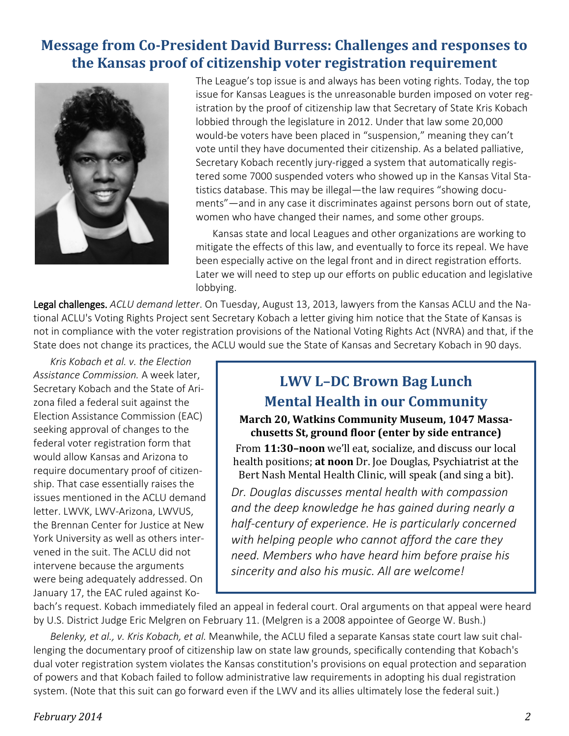## **Message from Co-President David Burress: Challenges and responses to the Kansas proof of citizenship voter registration requirement**



The League's top issue is and always has been voting rights. Today, the top issue for Kansas Leagues is the unreasonable burden imposed on voter registration by the proof of citizenship law that Secretary of State Kris Kobach lobbied through the legislature in 2012. Under that law some 20,000 would-be voters have been placed in "suspension," meaning they can't vote until they have documented their citizenship. As a belated palliative, Secretary Kobach recently jury-rigged a system that automatically registered some 7000 suspended voters who showed up in the Kansas Vital Statistics database. This may be illegal—the law requires "showing documents"—and in any case it discriminates against persons born out of state, women who have changed their names, and some other groups.

Kansas state and local Leagues and other organizations are working to mitigate the effects of this law, and eventually to force its repeal. We have been especially active on the legal front and in direct registration efforts. Later we will need to step up our efforts on public education and legislative lobbying.

Legal challenges. *ACLU demand letter*. On Tuesday, August 13, 2013, lawyers from the Kansas ACLU and the National ACLU's Voting Rights Project sent Secretary Kobach a letter giving him notice that the State of Kansas is not in compliance with the voter registration provisions of the National Voting Rights Act (NVRA) and that, if the State does not change its practices, the ACLU would sue the State of Kansas and Secretary Kobach in 90 days.

*Kris Kobach et al. v. the Election Assistance Commission.* A week later, Secretary Kobach and the State of Arizona filed a federal suit against the Election Assistance Commission (EAC) seeking approval of changes to the federal voter registration form that would allow Kansas and Arizona to require documentary proof of citizenship. That case essentially raises the issues mentioned in the ACLU demand letter. LWVK, LWV-Arizona, LWVUS, the Brennan Center for Justice at New York University as well as others intervened in the suit. The ACLU did not intervene because the arguments were being adequately addressed. On January 17, the EAC ruled against Ko-

# **LWV L–DC Brown Bag Lunch Mental Health in our Community**

**March 20, Watkins Community Museum, 1047 Massachusetts St, ground floor (enter by side entrance)**

From **11:30–noon** we'll eat, socialize, and discuss our local health positions; **at noon** Dr. Joe Douglas, Psychiatrist at the Bert Nash Mental Health Clinic, will speak (and sing a bit).

*Dr. Douglas discusses mental health with compassion and the deep knowledge he has gained during nearly a half-century of experience. He is particularly concerned with helping people who cannot afford the care they need. Members who have heard him before praise his sincerity and also his music. All are welcome!*

bach's request. Kobach immediately filed an appeal in federal court. Oral arguments on that appeal were heard by U.S. District Judge Eric Melgren on February 11. (Melgren is a 2008 appointee of George W. Bush.)

*Belenky, et al., v. Kris Kobach, et al.* Meanwhile, the ACLU filed a separate Kansas state court law suit challenging the documentary proof of citizenship law on state law grounds, specifically contending that Kobach's dual voter registration system violates the Kansas constitution's provisions on equal protection and separation of powers and that Kobach failed to follow administrative law requirements in adopting his dual registration system. (Note that this suit can go forward even if the LWV and its allies ultimately lose the federal suit.)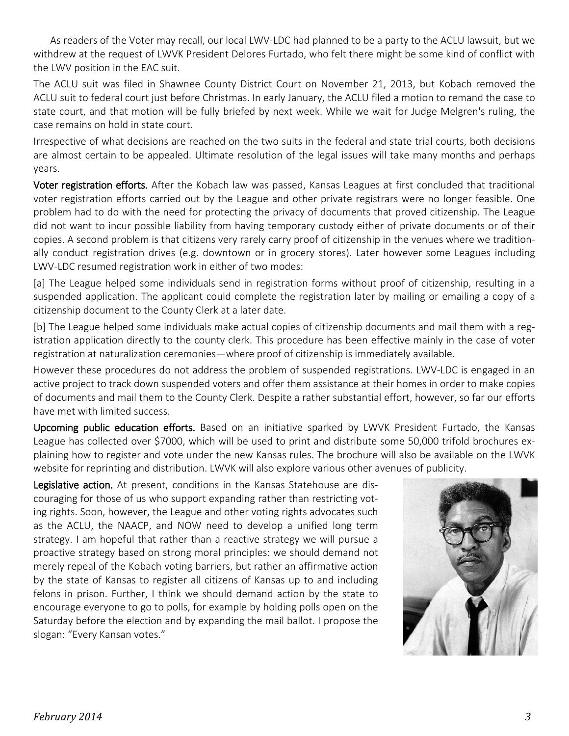As readers of the Voter may recall, our local LWV-LDC had planned to be a party to the ACLU lawsuit, but we withdrew at the request of LWVK President Delores Furtado, who felt there might be some kind of conflict with the LWV position in the EAC suit.

The ACLU suit was filed in Shawnee County District Court on November 21, 2013, but Kobach removed the ACLU suit to federal court just before Christmas. In early January, the ACLU filed a motion to remand the case to state court, and that motion will be fully briefed by next week. While we wait for Judge Melgren's ruling, the case remains on hold in state court.

Irrespective of what decisions are reached on the two suits in the federal and state trial courts, both decisions are almost certain to be appealed. Ultimate resolution of the legal issues will take many months and perhaps years.

Voter registration efforts. After the Kobach law was passed, Kansas Leagues at first concluded that traditional voter registration efforts carried out by the League and other private registrars were no longer feasible. One problem had to do with the need for protecting the privacy of documents that proved citizenship. The League did not want to incur possible liability from having temporary custody either of private documents or of their copies. A second problem is that citizens very rarely carry proof of citizenship in the venues where we traditionally conduct registration drives (e.g. downtown or in grocery stores). Later however some Leagues including LWV-LDC resumed registration work in either of two modes:

[a] The League helped some individuals send in registration forms without proof of citizenship, resulting in a suspended application. The applicant could complete the registration later by mailing or emailing a copy of a citizenship document to the County Clerk at a later date.

[b] The League helped some individuals make actual copies of citizenship documents and mail them with a registration application directly to the county clerk. This procedure has been effective mainly in the case of voter registration at naturalization ceremonies—where proof of citizenship is immediately available.

However these procedures do not address the problem of suspended registrations. LWV-LDC is engaged in an active project to track down suspended voters and offer them assistance at their homes in order to make copies of documents and mail them to the County Clerk. Despite a rather substantial effort, however, so far our efforts have met with limited success.

Upcoming public education efforts. Based on an initiative sparked by LWVK President Furtado, the Kansas League has collected over \$7000, which will be used to print and distribute some 50,000 trifold brochures explaining how to register and vote under the new Kansas rules. The brochure will also be available on the LWVK website for reprinting and distribution. LWVK will also explore various other avenues of publicity.

Legislative action. At present, conditions in the Kansas Statehouse are discouraging for those of us who support expanding rather than restricting voting rights. Soon, however, the League and other voting rights advocates such as the ACLU, the NAACP, and NOW need to develop a unified long term strategy. I am hopeful that rather than a reactive strategy we will pursue a proactive strategy based on strong moral principles: we should demand not merely repeal of the Kobach voting barriers, but rather an affirmative action by the state of Kansas to register all citizens of Kansas up to and including felons in prison. Further, I think we should demand action by the state to encourage everyone to go to polls, for example by holding polls open on the Saturday before the election and by expanding the mail ballot. I propose the slogan: "Every Kansan votes."

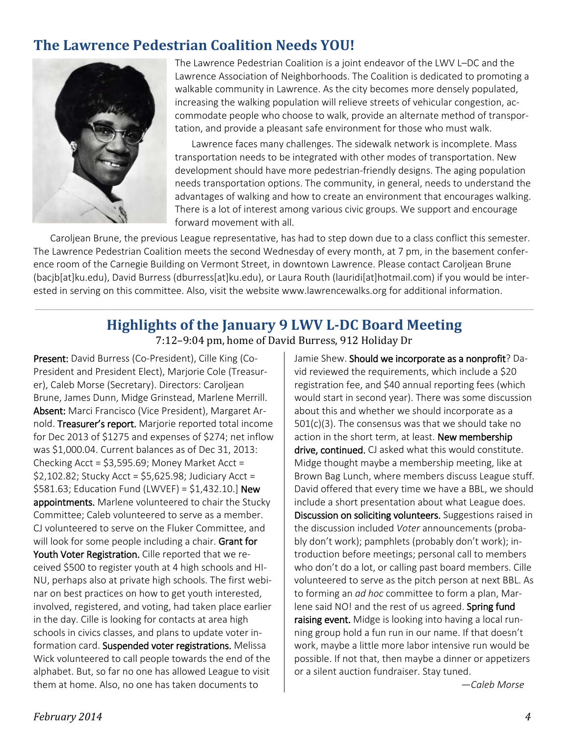## **The Lawrence Pedestrian Coalition Needs YOU!**



The Lawrence Pedestrian Coalition is a joint endeavor of the LWV L–DC and the Lawrence Association of Neighborhoods. The Coalition is dedicated to promoting a walkable community in Lawrence. As the city becomes more densely populated, increasing the walking population will relieve streets of vehicular congestion, accommodate people who choose to walk, provide an alternate method of transportation, and provide a pleasant safe environment for those who must walk.

Lawrence faces many challenges. The sidewalk network is incomplete. Mass transportation needs to be integrated with other modes of transportation. New development should have more pedestrian-friendly designs. The aging population needs transportation options. The community, in general, needs to understand the advantages of walking and how to create an environment that encourages walking. There is a lot of interest among various civic groups. We support and encourage forward movement with all.

Caroljean Brune, the previous League representative, has had to step down due to a class conflict this semester. The Lawrence Pedestrian Coalition meets the second Wednesday of every month, at 7 pm, in the basement conference room of the Carnegie Building on Vermont Street, in downtown Lawrence. Please contact Caroljean Brune (bacjb[at]ku.edu), David Burress (dburress[at]ku.edu), or Laura Routh (lauridi[at]hotmail.com) if you would be interested in serving on this committee. Also, visit the website www.lawrencewalks.org for additional information.

#### **Highlights of the January 9 LWV L-DC Board Meeting**  7:12–9:04 pm, home of David Burress, 912 Holiday Dr

\_\_\_\_\_\_\_\_\_\_\_\_\_\_\_\_\_\_\_\_\_\_\_\_\_\_\_\_\_\_\_\_\_\_\_\_\_\_\_\_\_\_\_\_\_\_\_\_\_\_\_\_\_\_\_\_\_\_\_\_\_\_\_\_\_\_\_\_\_\_\_\_\_\_\_\_\_\_\_\_\_\_\_\_\_\_\_\_\_\_\_\_\_\_\_\_\_\_\_\_\_\_\_\_\_\_\_\_\_\_\_\_\_\_\_\_\_\_\_\_\_\_\_\_\_\_\_\_\_\_\_\_\_\_\_\_\_\_\_\_\_\_\_\_\_\_\_\_\_\_\_\_\_\_\_\_\_\_\_\_\_\_\_\_\_\_\_\_\_\_\_\_\_\_\_\_\_\_\_\_\_\_\_\_\_\_\_\_\_\_\_\_\_\_\_\_\_\_\_\_\_\_\_\_\_\_\_\_\_\_\_\_\_

Present: David Burress (Co-President), Cille King (Co-President and President Elect), Marjorie Cole (Treasurer), Caleb Morse (Secretary). Directors: Caroljean Brune, James Dunn, Midge Grinstead, Marlene Merrill. Absent: Marci Francisco (Vice President), Margaret Arnold. Treasurer's report. Marjorie reported total income for Dec 2013 of \$1275 and expenses of \$274; net inflow was \$1,000.04. Current balances as of Dec 31, 2013: Checking Acct =  $$3,595.69$ ; Money Market Acct =  $$2,102.82$ ; Stucky Acct =  $$5,625.98$ ; Judiciary Acct = \$581.63; Education Fund (LWVEF) = \$1,432.10.] New appointments. Marlene volunteered to chair the Stucky Committee; Caleb volunteered to serve as a member. CJ volunteered to serve on the Fluker Committee, and will look for some people including a chair. Grant for Youth Voter Registration. Cille reported that we received \$500 to register youth at 4 high schools and HI-NU, perhaps also at private high schools. The first webinar on best practices on how to get youth interested, involved, registered, and voting, had taken place earlier in the day. Cille is looking for contacts at area high schools in civics classes, and plans to update voter information card. Suspended voter registrations. Melissa Wick volunteered to call people towards the end of the alphabet. But, so far no one has allowed League to visit them at home. Also, no one has taken documents to

Jamie Shew. Should we incorporate as a nonprofit? David reviewed the requirements, which include a \$20 registration fee, and \$40 annual reporting fees (which would start in second year). There was some discussion about this and whether we should incorporate as a 501(c)(3). The consensus was that we should take no action in the short term, at least. New membership drive, continued. CJ asked what this would constitute. Midge thought maybe a membership meeting, like at Brown Bag Lunch, where members discuss League stuff. David offered that every time we have a BBL, we should include a short presentation about what League does. Discussion on soliciting volunteers. Suggestions raised in the discussion included *Voter* announcements (probably don't work); pamphlets (probably don't work); introduction before meetings; personal call to members who don't do a lot, or calling past board members. Cille volunteered to serve as the pitch person at next BBL. As to forming an *ad hoc* committee to form a plan, Marlene said NO! and the rest of us agreed. Spring fund raising event. Midge is looking into having a local running group hold a fun run in our name. If that doesn't work, maybe a little more labor intensive run would be possible. If not that, then maybe a dinner or appetizers or a silent auction fundraiser. Stay tuned.

*—Caleb Morse*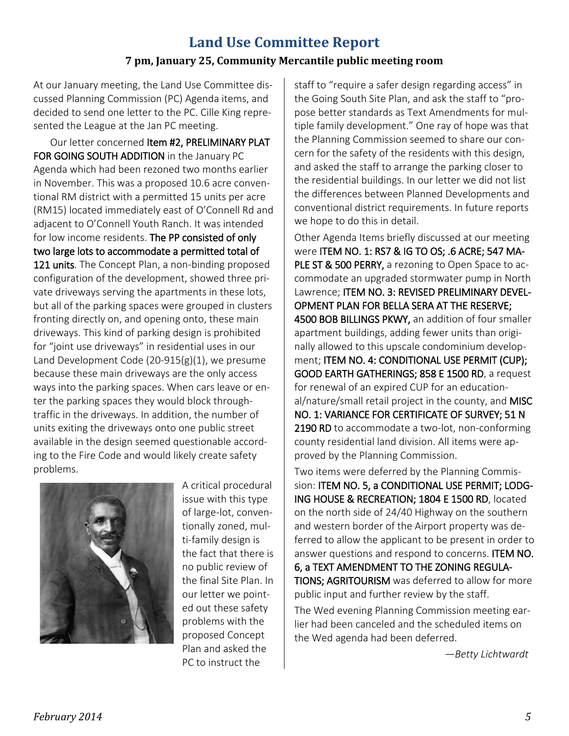### **Land Use Committee Report 7 pm, January 25, Community Mercantile public meeting room**

At our January meeting, the Land Use Committee discussed Planning Commission (PC) Agenda items, and decided to send one letter to the PC. Cille King represented the League at the Jan PC meeting.

Our letter concerned Item #2, PRELIMINARY PLAT FOR GOING SOUTH ADDITION in the January PC Agenda which had been rezoned two months earlier in November. This was a proposed 10.6 acre conventional RM district with a permitted 15 units per acre (RM15) located immediately east of O'Connell Rd and adjacent to O'Connell Youth Ranch. It was intended for low income residents. The PP consisted of only two large lots to accommodate a permitted total of 121 units. The Concept Plan, a non-binding proposed configuration of the development, showed three private driveways serving the apartments in these lots, but all of the parking spaces were grouped in clusters fronting directly on, and opening onto, these main driveways. This kind of parking design is prohibited for "joint use driveways" in residential uses in our Land Development Code (20-915(g)(1), we presume because these main driveways are the only access ways into the parking spaces. When cars leave or enter the parking spaces they would block throughtraffic in the driveways. In addition, the number of units exiting the driveways onto one public street available in the design seemed questionable according to the Fire Code and would likely create safety problems.



A critical procedural issue with this type of large-lot, conventionally zoned, multi-family design is the fact that there is no public review of the final Site Plan. In our letter we pointed out these safety problems with the proposed Concept Plan and asked the PC to instruct the

staff to "require a safer design regarding access" in the Going South Site Plan, and ask the staff to "propose better standards as Text Amendments for multiple family development." One ray of hope was that the Planning Commission seemed to share our concern for the safety of the residents with this design, and asked the staff to arrange the parking closer to the residential buildings. In our letter we did not list the differences between Planned Developments and conventional district requirements. In future reports we hope to do this in detail.

Other Agenda Items briefly discussed at our meeting were ITEM NO. 1: RS7 & IG TO OS; .6 ACRE; 547 MA-PLE ST & 500 PERRY, a rezoning to Open Space to accommodate an upgraded stormwater pump in North Lawrence; ITEM NO. 3: REVISED PRELIMINARY DEVEL-OPMENT PLAN FOR BELLA SERA AT THE RESERVE; 4500 BOB BILLINGS PKWY, an addition of four smaller apartment buildings, adding fewer units than originally allowed to this upscale condominium development; ITEM NO. 4: CONDITIONAL USE PERMIT (CUP); GOOD EARTH GATHERINGS; 858 E 1500 RD, a request for renewal of an expired CUP for an educational/nature/small retail project in the county, and MISC NO. 1: VARIANCE FOR CERTIFICATE OF SURVEY; 51 N 2190 RD to accommodate a two-lot, non-conforming county residential land division. All items were approved by the Planning Commission.

Two items were deferred by the Planning Commission: ITEM NO. 5, a CONDITIONAL USE PERMIT; LODG-ING HOUSE & RECREATION; 1804 E 1500 RD, located on the north side of 24/40 Highway on the southern and western border of the Airport property was deferred to allow the applicant to be present in order to answer questions and respond to concerns. ITEM NO. 6, a TEXT AMENDMENT TO THE ZONING REGULA-TIONS; AGRITOURISM was deferred to allow for more public input and further review by the staff.

The Wed evening Planning Commission meeting earlier had been canceled and the scheduled items on the Wed agenda had been deferred.

—*Betty Lichtwardt*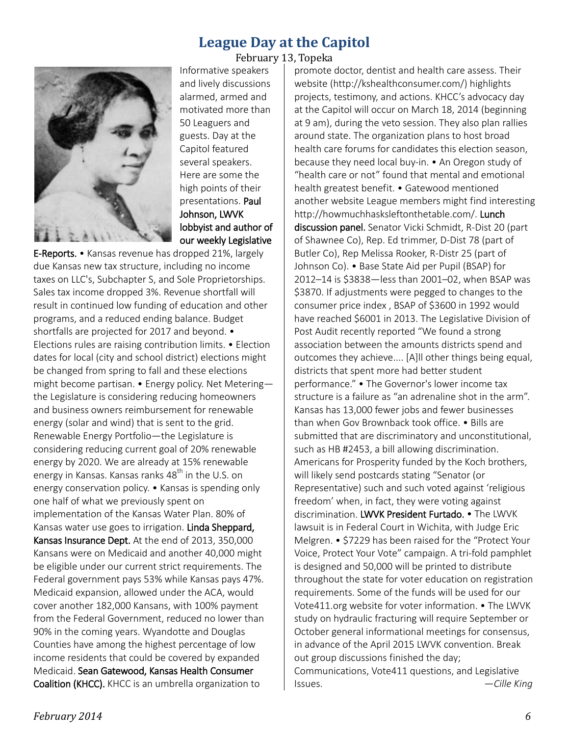#### **League Day at the Capitol** February 13, Topeka



Informative speakers and lively discussions alarmed, armed and motivated more than 50 Leaguers and guests. Day at the Capitol featured several speakers. Here are some the high points of their presentations. Paul Johnson, LWVK lobbyist and author of our weekly Legislative

E-Reports. • Kansas revenue has dropped 21%, largely due Kansas new tax structure, including no income taxes on LLC's, Subchapter S, and Sole Proprietorships. Sales tax income dropped 3%. Revenue shortfall will result in continued low funding of education and other programs, and a reduced ending balance. Budget shortfalls are projected for 2017 and beyond. • Elections rules are raising contribution limits. • Election dates for local (city and school district) elections might be changed from spring to fall and these elections might become partisan. • Energy policy. Net Metering the Legislature is considering reducing homeowners and business owners reimbursement for renewable energy (solar and wind) that is sent to the grid. Renewable Energy Portfolio—the Legislature is considering reducing current goal of 20% renewable energy by 2020. We are already at 15% renewable energy in Kansas. Kansas ranks  $48<sup>th</sup>$  in the U.S. on energy conservation policy. • Kansas is spending only one half of what we previously spent on implementation of the Kansas Water Plan. 80% of Kansas water use goes to irrigation. Linda Sheppard, Kansas Insurance Dept. At the end of 2013, 350,000 Kansans were on Medicaid and another 40,000 might be eligible under our current strict requirements. The Federal government pays 53% while Kansas pays 47%. Medicaid expansion, allowed under the ACA, would cover another 182,000 Kansans, with 100% payment from the Federal Government, reduced no lower than 90% in the coming years. Wyandotte and Douglas Counties have among the highest percentage of low income residents that could be covered by expanded Medicaid. Sean Gatewood, Kansas Health Consumer Coalition (KHCC). KHCC is an umbrella organization to

promote doctor, dentist and health care assess. Their website (http://kshealthconsumer.com/) highlights projects, testimony, and actions. KHCC's advocacy day at the Capitol will occur on March 18, 2014 (beginning at 9 am), during the veto session. They also plan rallies around state. The organization plans to host broad health care forums for candidates this election season, because they need local buy-in. • An Oregon study of "health care or not" found that mental and emotional health greatest benefit. • Gatewood mentioned another website League members might find interesting http://howmuchhasksleftonthetable.com/. Lunch discussion panel. Senator Vicki Schmidt, R-Dist 20 (part of Shawnee Co), Rep. Ed trimmer, D-Dist 78 (part of Butler Co), Rep Melissa Rooker, R-Distr 25 (part of Johnson Co). • Base State Aid per Pupil (BSAP) for 2012–14 is \$3838—less than 2001–02, when BSAP was \$3870. If adjustments were pegged to changes to the consumer price index , BSAP of \$3600 in 1992 would have reached \$6001 in 2013. The Legislative Division of Post Audit recently reported "We found a strong association between the amounts districts spend and outcomes they achieve.... [A]ll other things being equal, districts that spent more had better student performance." • The Governor's lower income tax structure is a failure as "an adrenaline shot in the arm". Kansas has 13,000 fewer jobs and fewer businesses than when Gov Brownback took office. • Bills are submitted that are discriminatory and unconstitutional, such as HB #2453, a bill allowing discrimination. Americans for Prosperity funded by the Koch brothers, will likely send postcards stating "Senator (or Representative) such and such voted against 'religious freedom' when, in fact, they were voting against discrimination. LWVK President Furtado. • The LWVK lawsuit is in Federal Court in Wichita, with Judge Eric Melgren. • \$7229 has been raised for the "Protect Your Voice, Protect Your Vote" campaign. A tri-fold pamphlet is designed and 50,000 will be printed to distribute throughout the state for voter education on registration requirements. Some of the funds will be used for our Vote411.org website for voter information. • The LWVK study on hydraulic fracturing will require September or October general informational meetings for consensus, in advance of the April 2015 LWVK convention. Break out group discussions finished the day; Communications, Vote411 questions, and Legislative Issues. *—Cille King*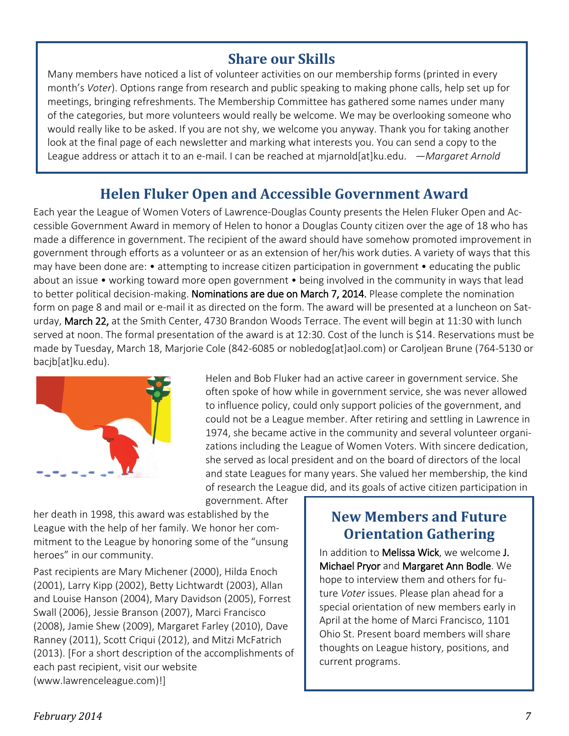## **Share our Skills**

Many members have noticed a list of volunteer activities on our membership forms (printed in every month's *Voter*). Options range from research and public speaking to making phone calls, help set up for meetings, bringing refreshments. The Membership Committee has gathered some names under many of the categories, but more volunteers would really be welcome. We may be overlooking someone who would really like to be asked. If you are not shy, we welcome you anyway. Thank you for taking another look at the final page of each newsletter and marking what interests you. You can send a copy to the League address or attach it to an e-mail. I can be reached at mjarnold[at]ku.edu. *—Margaret Arnold*

# **Helen Fluker Open and Accessible Government Award**

Each year the League of Women Voters of Lawrence-Douglas County presents the Helen Fluker Open and Accessible Government Award in memory of Helen to honor a Douglas County citizen over the age of 18 who has made a difference in government. The recipient of the award should have somehow promoted improvement in government through efforts as a volunteer or as an extension of her/his work duties. A variety of ways that this may have been done are: • attempting to increase citizen participation in government • educating the public about an issue • working toward more open government • being involved in the community in ways that lead to better political decision-making. Nominations are due on March 7, 2014. Please complete the nomination form on page 8 and mail or e-mail it as directed on the form. The award will be presented at a luncheon on Saturday, March 22, at the Smith Center, 4730 Brandon Woods Terrace. The event will begin at 11:30 with lunch served at noon. The formal presentation of the award is at 12:30. Cost of the lunch is \$14. Reservations must be made by Tuesday, March 18, Marjorie Cole (842-6085 or [nobledog\[at\]aol.com\)](mailto:nobledog@aol.com) or Caroljean Brune (764-5130 or bacjb[at]ku.edu).

government. After



Helen and Bob Fluker had an active career in government service. She often spoke of how while in government service, she was never allowed to influence policy, could only support policies of the government, and could not be a League member. After retiring and settling in Lawrence in 1974, she became active in the community and several volunteer organizations including the League of Women Voters. With sincere dedication, she served as local president and on the board of directors of the local and state Leagues for many years. She valued her membership, the kind of research the League did, and its goals of active citizen participation in

her death in 1998, this award was established by the League with the help of her family. We honor her commitment to the League by honoring some of the "unsung heroes" in our community.

Past recipients are Mary Michener (2000), Hilda Enoch (2001), Larry Kipp (2002), Betty Lichtwardt (2003), Allan and Louise Hanson (2004), Mary Davidson (2005), Forrest Swall (2006), Jessie Branson (2007), Marci Francisco (2008), Jamie Shew (2009), Margaret Farley (2010), Dave Ranney (2011), Scott Criqui (2012), and Mitzi McFatrich (2013). [For a short description of the accomplishments of each past recipient, visit our website (www.lawrenceleague.com)!]

# **New Members and Future Orientation Gathering**

In addition to Melissa Wick, we welcome J. Michael Pryor and Margaret Ann Bodle. We hope to interview them and others for future *Voter* issues. Please plan ahead for a special orientation of new members early in April at the home of Marci Francisco, 1101 Ohio St. Present board members will share thoughts on League history, positions, and current programs.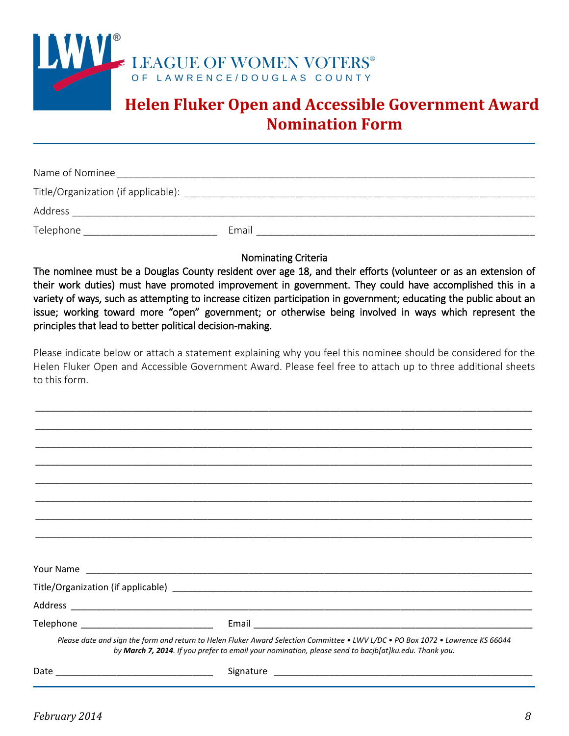

# **Helen Fluker Open and Accessible Government Award Nomination Form**

| Name of Nominee                     |       |
|-------------------------------------|-------|
| Title/Organization (if applicable): |       |
| Address                             |       |
| Telephone                           | Email |

Nominating Criteria

The nominee must be a Douglas County resident over age 18, and their efforts (volunteer or as an extension of their work duties) must have promoted improvement in government. They could have accomplished this in a variety of ways, such as attempting to increase citizen participation in government; educating the public about an issue; working toward more "open" government; or otherwise being involved in ways which represent the principles that lead to better political decision-making.

Please indicate below or attach a statement explaining why you feel this nominee should be considered for the Helen Fluker Open and Accessible Government Award. Please feel free to attach up to three additional sheets to this form.

\_\_\_\_\_\_\_\_\_\_\_\_\_\_\_\_\_\_\_\_\_\_\_\_\_\_\_\_\_\_\_\_\_\_\_\_\_\_\_\_\_\_\_\_\_\_\_\_\_\_\_\_\_\_\_\_\_\_\_\_\_\_\_\_\_\_\_\_\_\_\_\_\_\_\_\_\_\_\_\_\_\_\_\_\_\_\_\_\_\_\_\_\_\_\_\_\_\_

| Telephone ______________________________ |                                                                                                                                                                                                                                         |
|------------------------------------------|-----------------------------------------------------------------------------------------------------------------------------------------------------------------------------------------------------------------------------------------|
|                                          | Please date and sign the form and return to Helen Fluker Award Selection Committee . LWV L/DC . PO Box 1072 . Lawrence KS 66044<br>by March 7, 2014. If you prefer to email your nomination, please send to bacjb[at]ku.edu. Thank you. |
|                                          |                                                                                                                                                                                                                                         |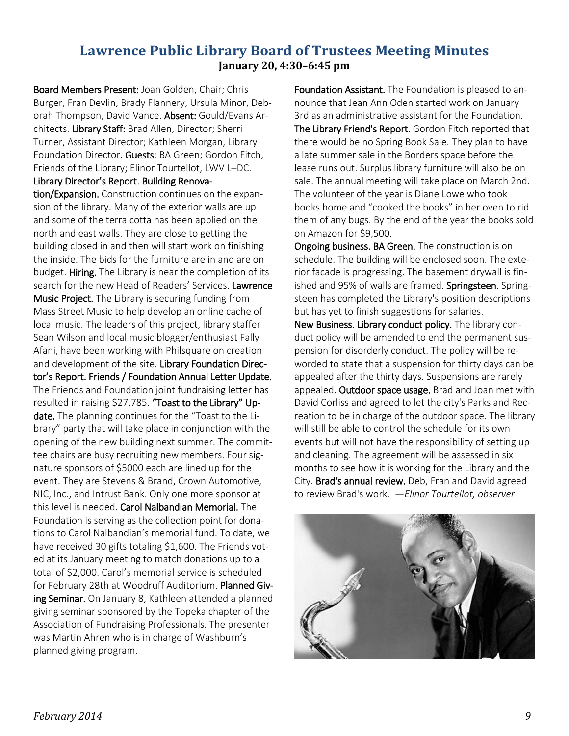### **Lawrence Public Library Board of Trustees Meeting Minutes January 20, 4:30–6:45 pm**

Board Members Present: Joan Golden, Chair; Chris Burger, Fran Devlin, Brady Flannery, Ursula Minor, Deborah Thompson, David Vance. Absent: Gould/Evans Architects. Library Staff: Brad Allen, Director; Sherri Turner, Assistant Director; Kathleen Morgan, Library Foundation Director. Guests: BA Green; Gordon Fitch, Friends of the Library; Elinor Tourtellot, LWV L–DC. Library Director's Report. Building Renova-

tion/Expansion. Construction continues on the expansion of the library. Many of the exterior walls are up and some of the terra cotta has been applied on the north and east walls. They are close to getting the building closed in and then will start work on finishing the inside. The bids for the furniture are in and are on budget. Hiring. The Library is near the completion of its search for the new Head of Readers' Services. Lawrence Music Project. The Library is securing funding from Mass Street Music to help develop an online cache of local music. The leaders of this project, library staffer Sean Wilson and local music blogger/enthusiast Fally Afani, have been working with Philsquare on creation and development of the site. Library Foundation Director's Report. Friends / Foundation Annual Letter Update. The Friends and Foundation joint fundraising letter has resulted in raising \$27,785. "Toast to the Library" Update. The planning continues for the "Toast to the Library" party that will take place in conjunction with the opening of the new building next summer. The committee chairs are busy recruiting new members. Four signature sponsors of \$5000 each are lined up for the event. They are Stevens & Brand, Crown Automotive, NIC, Inc., and Intrust Bank. Only one more sponsor at this level is needed. Carol Nalbandian Memorial. The Foundation is serving as the collection point for donations to Carol Nalbandian's memorial fund. To date, we have received 30 gifts totaling \$1,600. The Friends voted at its January meeting to match donations up to a total of \$2,000. Carol's memorial service is scheduled for February 28th at Woodruff Auditorium. Planned Giving Seminar. On January 8, Kathleen attended a planned giving seminar sponsored by the Topeka chapter of the Association of Fundraising Professionals. The presenter was Martin Ahren who is in charge of Washburn's planned giving program.

Foundation Assistant. The Foundation is pleased to announce that Jean Ann Oden started work on January 3rd as an administrative assistant for the Foundation. The Library Friend's Report. Gordon Fitch reported that there would be no Spring Book Sale. They plan to have a late summer sale in the Borders space before the lease runs out. Surplus library furniture will also be on sale. The annual meeting will take place on March 2nd. The volunteer of the year is Diane Lowe who took books home and "cooked the books" in her oven to rid them of any bugs. By the end of the year the books sold on Amazon for \$9,500.

Ongoing business. BA Green. The construction is on schedule. The building will be enclosed soon. The exterior facade is progressing. The basement drywall is finished and 95% of walls are framed. Springsteen. Springsteen has completed the Library's position descriptions but has yet to finish suggestions for salaries.

New Business. Library conduct policy. The library conduct policy will be amended to end the permanent suspension for disorderly conduct. The policy will be reworded to state that a suspension for thirty days can be appealed after the thirty days. Suspensions are rarely appealed. Outdoor space usage. Brad and Joan met with David Corliss and agreed to let the city's Parks and Recreation to be in charge of the outdoor space. The library will still be able to control the schedule for its own events but will not have the responsibility of setting up and cleaning. The agreement will be assessed in six months to see how it is working for the Library and the City. Brad's annual review. Deb, Fran and David agreed to review Brad's work. *—Elinor Tourtellot, observer*

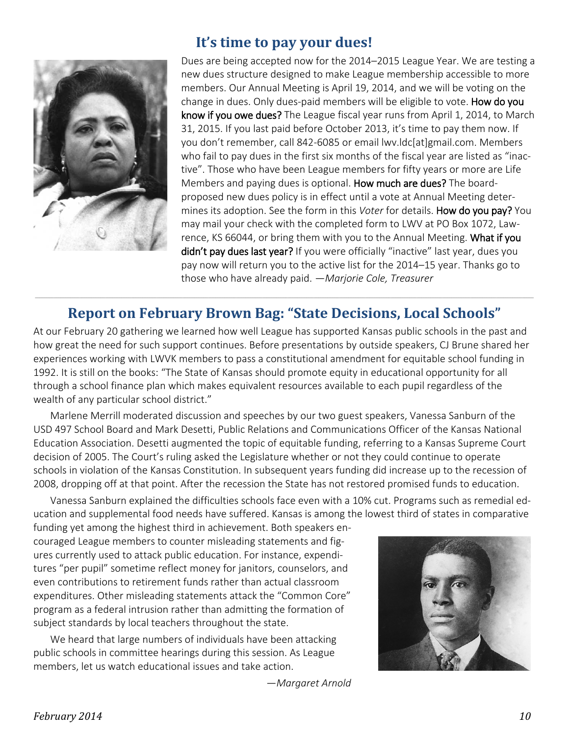

## **It's time to pay your dues!**

Dues are being accepted now for the 2014–2015 League Year. We are testing a new dues structure designed to make League membership accessible to more members. Our Annual Meeting is April 19, 2014, and we will be voting on the change in dues. Only dues-paid members will be eligible to vote. How do you know if you owe dues? The League fiscal year runs from April 1, 2014, to March 31, 2015. If you last paid before October 2013, it's time to pay them now. If you don't remember, call 842-6085 or email [lwv.ldc\[at\]gmail.com.](mailto:lwv.ldc@gmail.com) Members who fail to pay dues in the first six months of the fiscal year are listed as "inactive". Those who have been League members for fifty years or more are Life Members and paying dues is optional. How much are dues? The boardproposed new dues policy is in effect until a vote at Annual Meeting determines its adoption. See the form in this *Voter* for details. How do you pay? You may mail your check with the completed form to LWV at PO Box 1072, Lawrence, KS 66044, or bring them with you to the Annual Meeting. What if you didn't pay dues last year? If you were officially "inactive" last year, dues you pay now will return you to the active list for the 2014–15 year. Thanks go to those who have already paid. —*Marjorie Cole, Treasurer*

#### \_\_\_\_\_\_\_\_\_\_\_\_\_\_\_\_\_\_\_\_\_\_\_\_\_\_\_\_\_\_\_\_\_\_\_\_\_\_\_\_\_\_\_\_\_\_\_\_\_\_\_\_\_\_\_\_\_\_\_\_\_\_\_\_\_\_\_\_\_\_\_\_\_\_\_\_\_\_\_\_\_\_\_\_\_\_\_\_\_\_\_\_\_\_\_\_\_\_\_\_\_\_\_\_\_\_\_\_\_\_\_\_\_\_\_\_\_\_\_\_\_\_\_\_\_\_\_\_\_\_\_\_\_\_\_\_\_\_\_\_\_\_\_\_\_\_\_\_\_\_\_\_\_\_\_\_\_\_\_\_\_\_\_\_\_\_\_\_\_\_\_\_\_\_\_\_\_\_\_\_\_\_\_\_\_\_\_\_\_\_\_\_\_\_\_\_\_\_\_\_\_\_\_\_\_\_\_\_\_\_\_\_\_ **Report on February Brown Bag: "State Decisions, Local Schools"**

At our February 20 gathering we learned how well League has supported Kansas public schools in the past and how great the need for such support continues. Before presentations by outside speakers, CJ Brune shared her experiences working with LWVK members to pass a constitutional amendment for equitable school funding in 1992. It is still on the books: "The State of Kansas should promote equity in educational opportunity for all through a school finance plan which makes equivalent resources available to each pupil regardless of the wealth of any particular school district."

Marlene Merrill moderated discussion and speeches by our two guest speakers, Vanessa Sanburn of the USD 497 School Board and Mark Desetti, Public Relations and Communications Officer of the Kansas National Education Association. Desetti augmented the topic of equitable funding, referring to a Kansas Supreme Court decision of 2005. The Court's ruling asked the Legislature whether or not they could continue to operate schools in violation of the Kansas Constitution. In subsequent years funding did increase up to the recession of 2008, dropping off at that point. After the recession the State has not restored promised funds to education.

Vanessa Sanburn explained the difficulties schools face even with a 10% cut. Programs such as remedial education and supplemental food needs have suffered. Kansas is among the lowest third of states in comparative

funding yet among the highest third in achievement. Both speakers encouraged League members to counter misleading statements and figures currently used to attack public education. For instance, expenditures "per pupil" sometime reflect money for janitors, counselors, and even contributions to retirement funds rather than actual classroom expenditures. Other misleading statements attack the "Common Core" program as a federal intrusion rather than admitting the formation of subject standards by local teachers throughout the state.

We heard that large numbers of individuals have been attacking public schools in committee hearings during this session. As League members, let us watch educational issues and take action.



*—Margaret Arnold*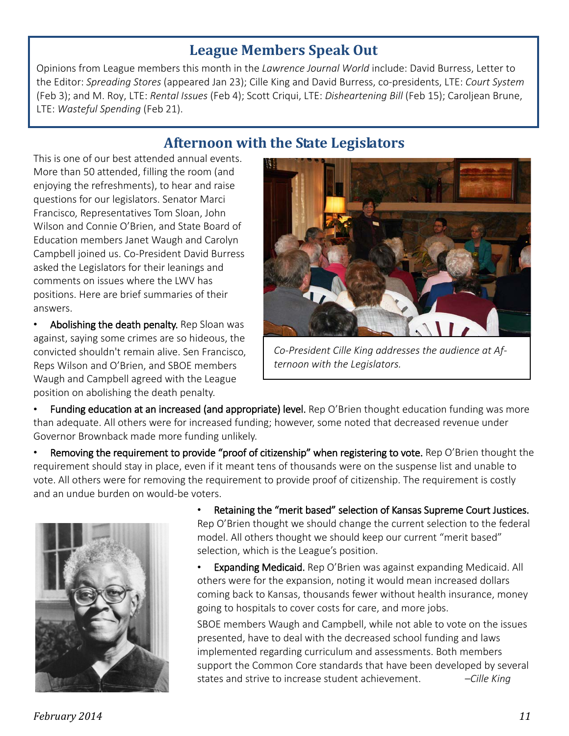## **League Members Speak Out**

Opinions from League members this month in the *Lawrence Journal World* include: David Burress, Letter to the Editor: *Spreading Stores* (appeared Jan 23); Cille King and David Burress, co-presidents, LTE: *Court System*  (Feb 3); and M. Roy, LTE: *Rental Issues* (Feb 4); Scott Criqui, LTE: *Disheartening Bill* (Feb 15); Caroljean Brune, LTE: *Wasteful Spending* (Feb 21).

# **Afternoon with the State Legislators**

This is one of our best attended annual events. More than 50 attended, filling the room (and enjoying the refreshments), to hear and raise questions for our legislators. Senator Marci Francisco, Representatives Tom Sloan, John Wilson and Connie O'Brien, and State Board of Education members Janet Waugh and Carolyn Campbell joined us. Co-President David Burress asked the Legislators for their leanings and comments on issues where the LWV has positions. Here are brief summaries of their answers.

• Abolishing the death penalty. Rep Sloan was against, saying some crimes are so hideous, the convicted shouldn't remain alive. Sen Francisco, Reps Wilson and O'Brien, and SBOE members Waugh and Campbell agreed with the League position on abolishing the death penalty.



*Co-President Cille King addresses the audience at Afternoon with the Legislators.*

Funding education at an increased (and appropriate) level. Rep O'Brien thought education funding was more than adequate. All others were for increased funding; however, some noted that decreased revenue under Governor Brownback made more funding unlikely.

• Removing the requirement to provide "proof of citizenship" when registering to vote. Rep O'Brien thought the requirement should stay in place, even if it meant tens of thousands were on the suspense list and unable to vote. All others were for removing the requirement to provide proof of citizenship. The requirement is costly and an undue burden on would-be voters.



• Retaining the "merit based" selection of Kansas Supreme Court Justices. Rep O'Brien thought we should change the current selection to the federal model. All others thought we should keep our current "merit based" selection, which is the League's position.

• Expanding Medicaid. Rep O'Brien was against expanding Medicaid. All others were for the expansion, noting it would mean increased dollars coming back to Kansas, thousands fewer without health insurance, money going to hospitals to cover costs for care, and more jobs.

SBOE members Waugh and Campbell, while not able to vote on the issues presented, have to deal with the decreased school funding and laws implemented regarding curriculum and assessments. Both members support the Common Core standards that have been developed by several states and strive to increase student achievement. *–Cille King*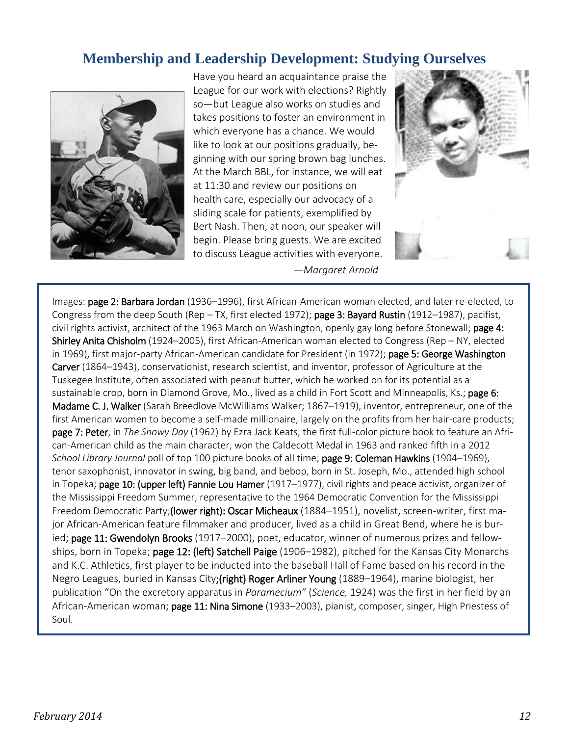## **Membership and Leadership Development: Studying Ourselves**



Have you heard an acquaintance praise the League for our work with elections? Rightly so—but League also works on studies and takes positions to foster an environment in which everyone has a chance. We would like to look at our positions gradually, beginning with our spring brown bag lunches. At the March BBL, for instance, we will eat at 11:30 and review our positions on health care, especially our advocacy of a sliding scale for patients, exemplified by Bert Nash. Then, at noon, our speaker will begin. Please bring guests. We are excited to discuss League activities with everyone. *—Margaret Arnold*



Images: page 2: Barbara Jordan (1936–1996), first African-American woman elected, and later re-elected, to Congress from the deep South (Rep – TX, first elected 1972); page 3: Bayard Rustin (1912–1987), pacifist, civil rights activist, architect of the 1963 March on Washington, openly gay long before Stonewall; page 4: Shirley Anita Chisholm (1924–2005), first African-American woman elected to Congress (Rep – NY, elected in 1969), first major-party African-American candidate for President (in 1972); page 5: George Washington Carver (1864–1943), conservationist, research scientist, and inventor, professor of Agriculture at the Tuskegee Institute, often associated with peanut butter, which he worked on for its potential as a sustainable crop, born in Diamond Grove, Mo., lived as a child in Fort Scott and Minneapolis, Ks.; page 6: Madame C. J. Walker (Sarah Breedlove McWilliams Walker; 1867–1919), inventor, entrepreneur, one of the first American women to become a self-made millionaire, largely on the profits from her hair-care products; page 7: Peter, in *The Snowy Day* (1962) by Ezra Jack Keats, the first full-color picture book to feature an African-American child as the main character, won the Caldecott Medal in 1963 and ranked fifth in a 2012 *School Library Journal* poll of top 100 picture books of all time; page 9: Coleman Hawkins (1904–1969), tenor saxophonist, innovator in swing, big band, and bebop, born in St. Joseph, Mo., attended high school in Topeka; page 10: (upper left) Fannie Lou Hamer (1917–1977), civil rights and peace activist, organizer of the Mississippi Freedom Summer, representative to the 1964 Democratic Convention for the Mississippi Freedom Democratic Party;(lower right): Oscar Micheaux (1884–1951), novelist, screen-writer, first major African-American feature filmmaker and producer, lived as a child in Great Bend, where he is buried; page 11: Gwendolyn Brooks (1917–2000), poet, educator, winner of numerous prizes and fellowships, born in Topeka; page 12: (left) Satchell Paige (1906-1982), pitched for the Kansas City Monarchs and K.C. Athletics, first player to be inducted into the baseball Hall of Fame based on his record in the Negro Leagues, buried in Kansas City; (right) Roger Arliner Young (1889–1964), marine biologist, her publication "On the excretory apparatus in *Paramecium*" (*Science,* 1924) was the first in her field by an African-American woman; page 11: Nina Simone (1933–2003), pianist, composer, singer, High Priestess of Soul.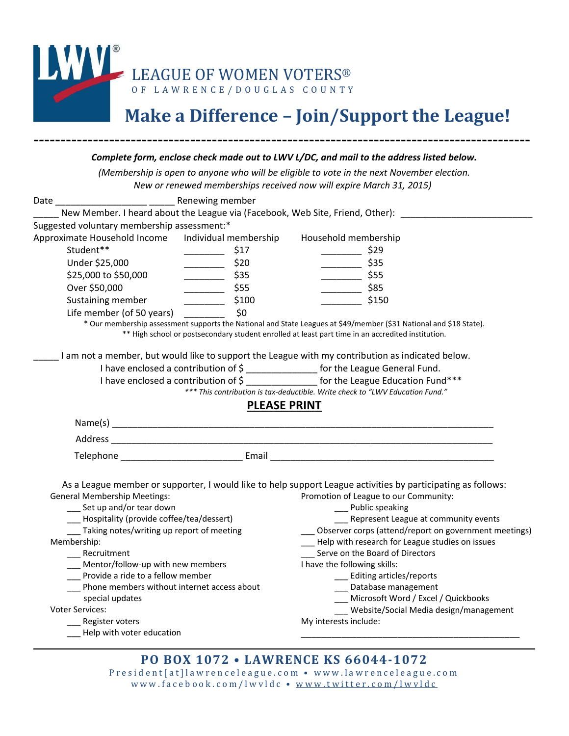

# **Make a Difference – Join/Support the League!**

|                                                    |                                  | (Membership is open to anyone who will be eligible to vote in the next November election.                                                                   |
|----------------------------------------------------|----------------------------------|-------------------------------------------------------------------------------------------------------------------------------------------------------------|
|                                                    |                                  | New or renewed memberships received now will expire March 31, 2015)                                                                                         |
| Date _______________________ Renewing member       |                                  |                                                                                                                                                             |
|                                                    |                                  | New Member. I heard about the League via (Facebook, Web Site, Friend, Other): ____________                                                                  |
| Suggested voluntary membership assessment:*        |                                  |                                                                                                                                                             |
| Approximate Household Income Individual membership |                                  | Household membership                                                                                                                                        |
| Student**                                          | \$17<br>$\frac{1}{1}$            | $\frac{\cdot}{\cdot}$ \$29                                                                                                                                  |
| Under \$25,000                                     | \$20<br>$\overline{\phantom{a}}$ | $\frac{1}{2}$ \$35                                                                                                                                          |
| \$25,000 to \$50,000                               | $\frac{1}{2}$ \$35               |                                                                                                                                                             |
| Over \$50,000                                      |                                  | $\frac{1}{2}$ \$85                                                                                                                                          |
| Sustaining member                                  | $\frac{1}{2}$ \$100              | \$150                                                                                                                                                       |
| Life member (of 50 years)                          | \$0                              |                                                                                                                                                             |
|                                                    |                                  | * Our membership assessment supports the National and State Leagues at \$49/member (\$31 National and \$18 State).                                          |
|                                                    |                                  | ** High school or postsecondary student enrolled at least part time in an accredited institution.                                                           |
|                                                    |                                  |                                                                                                                                                             |
|                                                    |                                  | I am not a member, but would like to support the League with my contribution as indicated below.                                                            |
|                                                    |                                  | I have enclosed a contribution of \$ ________________ for the League General Fund.<br>I have enclosed a contribution of \$ for the League Education Fund*** |
|                                                    |                                  | *** This contribution is tax-deductible. Write check to "LWV Education Fund."                                                                               |
|                                                    | <b>PLEASE PRINT</b>              |                                                                                                                                                             |
|                                                    |                                  |                                                                                                                                                             |
|                                                    |                                  |                                                                                                                                                             |
|                                                    |                                  |                                                                                                                                                             |
|                                                    |                                  |                                                                                                                                                             |
|                                                    |                                  |                                                                                                                                                             |
|                                                    |                                  |                                                                                                                                                             |
|                                                    |                                  |                                                                                                                                                             |
|                                                    |                                  | As a League member or supporter, I would like to help support League activities by participating as follows:                                                |
| <b>General Membership Meetings:</b>                |                                  | Promotion of League to our Community:                                                                                                                       |
| __ Set up and/or tear down                         |                                  | __ Public speaking                                                                                                                                          |
| Hospitality (provide coffee/tea/dessert)           |                                  | Represent League at community events                                                                                                                        |
| Taking notes/writing up report of meeting          |                                  | Observer corps (attend/report on government meetings)                                                                                                       |
| Membership:<br>Recruitment                         |                                  | Help with research for League studies on issues                                                                                                             |
| Mentor/follow-up with new members                  |                                  | Serve on the Board of Directors<br>I have the following skills:                                                                                             |
| Provide a ride to a fellow member                  |                                  | __ Editing articles/reports                                                                                                                                 |
| Phone members without internet access about        |                                  | Database management                                                                                                                                         |
| special updates                                    |                                  | Microsoft Word / Excel / Quickbooks                                                                                                                         |
| Voter Services:                                    |                                  | Website/Social Media design/management                                                                                                                      |
| _Register voters<br>_Help with voter education     |                                  | My interests include:                                                                                                                                       |

www.facebook.com/lwvldc • [www.twitter.com/lwvldc](http://www.twitter.com/lwvldc)